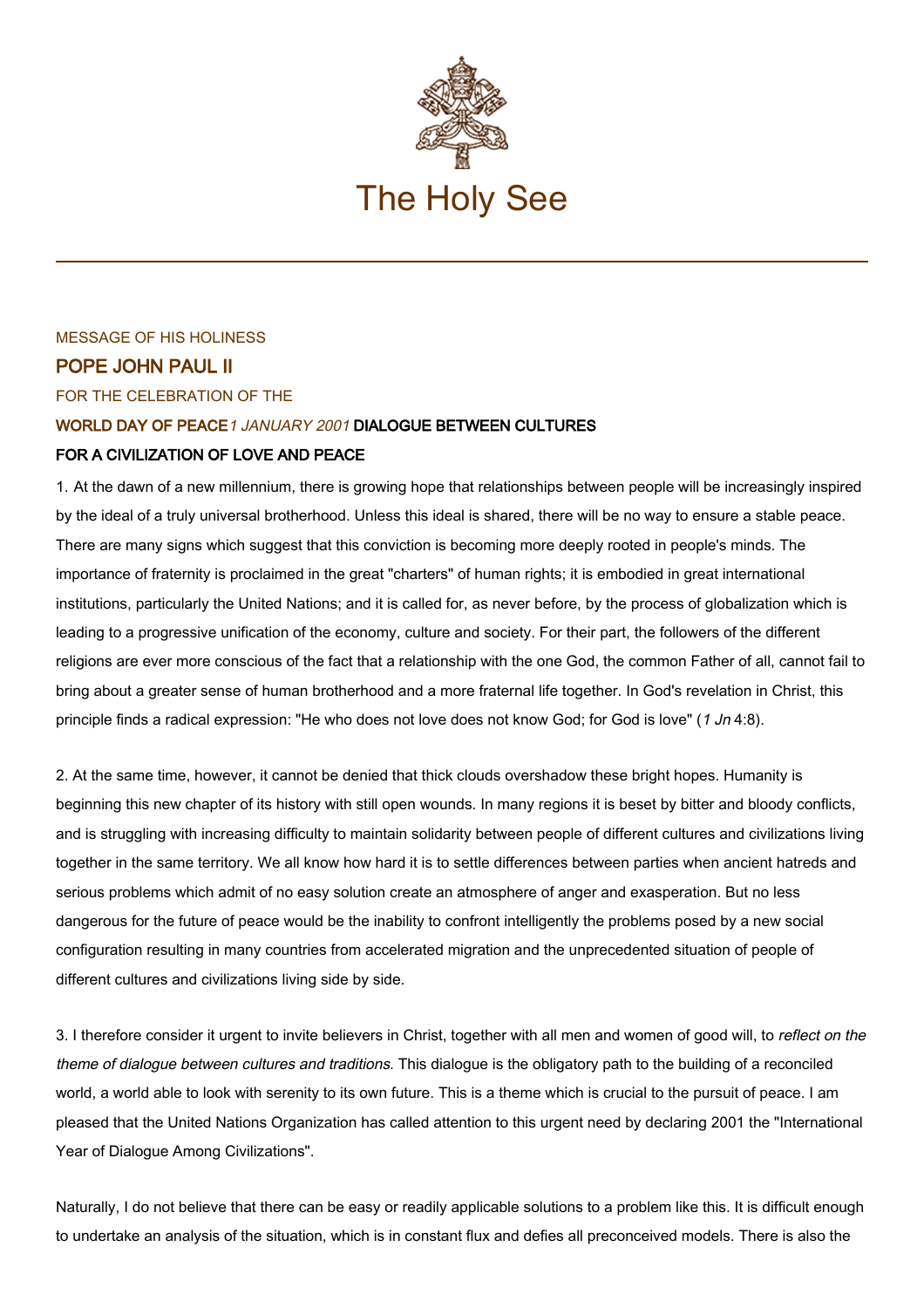

# MESSAGE OF HIS HOLINESS POPE JOHN PAUL II FOR THE CELEBRATION OF THE WORLD DAY OF PEACE1 JANUARY 2001 DIALOGUE BETWEEN CULTURES FOR A CIVILIZATION OF LOVE AND PEACE

1. At the dawn of a new millennium, there is growing hope that relationships between people will be increasingly inspired by the ideal of a truly universal brotherhood. Unless this ideal is shared, there will be no way to ensure a stable peace. There are many signs which suggest that this conviction is becoming more deeply rooted in people's minds. The importance of fraternity is proclaimed in the great "charters" of human rights; it is embodied in great international institutions, particularly the United Nations; and it is called for, as never before, by the process of globalization which is leading to a progressive unification of the economy, culture and society. For their part, the followers of the different religions are ever more conscious of the fact that a relationship with the one God, the common Father of all, cannot fail to bring about a greater sense of human brotherhood and a more fraternal life together. In God's revelation in Christ, this principle finds a radical expression: "He who does not love does not know God; for God is love" (1 Jn 4:8).

2. At the same time, however, it cannot be denied that thick clouds overshadow these bright hopes. Humanity is beginning this new chapter of its history with still open wounds. In many regions it is beset by bitter and bloody conflicts, and is struggling with increasing difficulty to maintain solidarity between people of different cultures and civilizations living together in the same territory. We all know how hard it is to settle differences between parties when ancient hatreds and serious problems which admit of no easy solution create an atmosphere of anger and exasperation. But no less dangerous for the future of peace would be the inability to confront intelligently the problems posed by a new social configuration resulting in many countries from accelerated migration and the unprecedented situation of people of different cultures and civilizations living side by side.

3. I therefore consider it urgent to invite believers in Christ, together with all men and women of good will, to reflect on the theme of dialogue between cultures and traditions. This dialogue is the obligatory path to the building of a reconciled world, a world able to look with serenity to its own future. This is a theme which is crucial to the pursuit of peace. I am pleased that the United Nations Organization has called attention to this urgent need by declaring 2001 the "International Year of Dialogue Among Civilizations".

Naturally, I do not believe that there can be easy or readily applicable solutions to a problem like this. It is difficult enough to undertake an analysis of the situation, which is in constant flux and defies all preconceived models. There is also the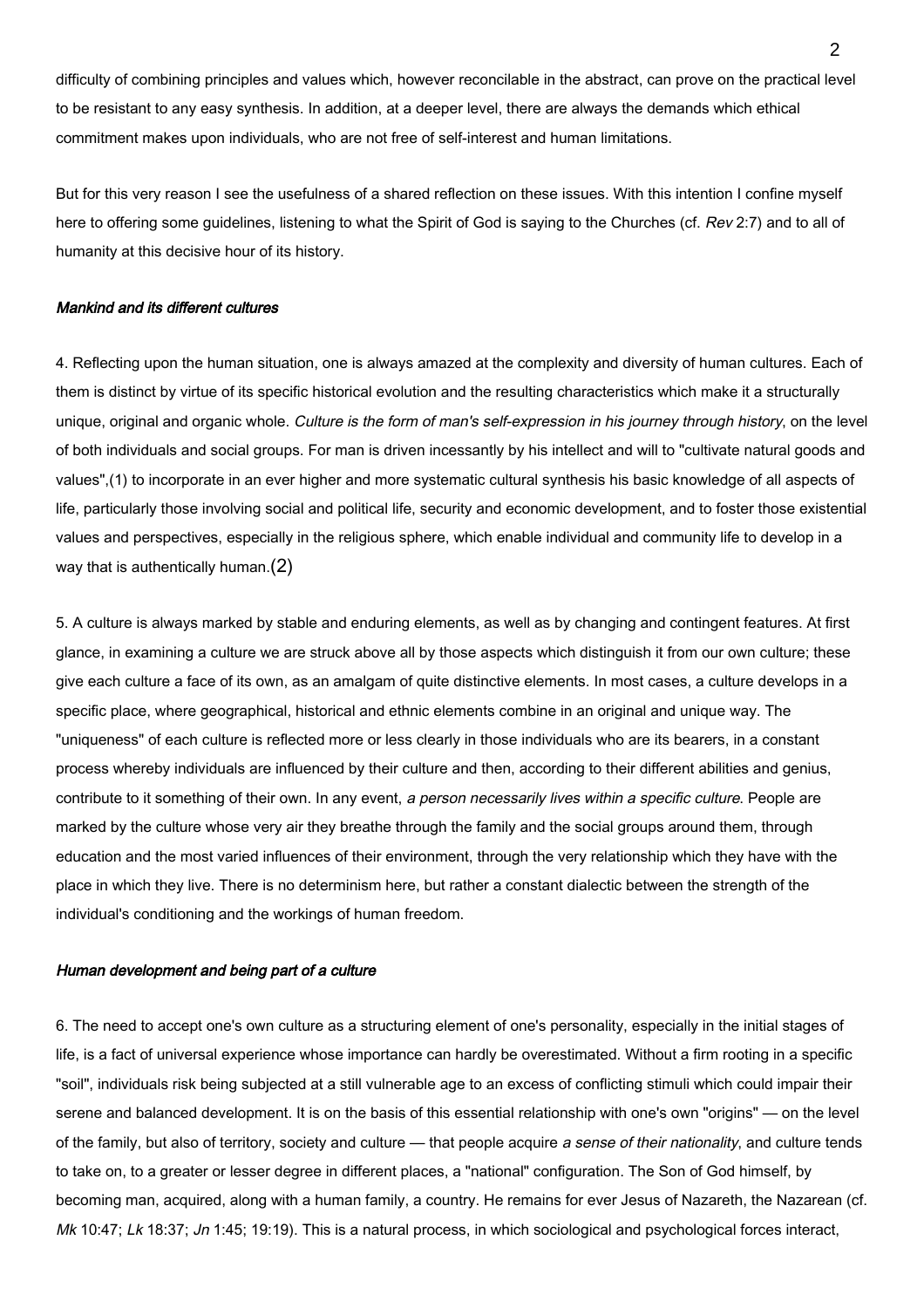difficulty of combining principles and values which, however reconcilable in the abstract, can prove on the practical level to be resistant to any easy synthesis. In addition, at a deeper level, there are always the demands which ethical commitment makes upon individuals, who are not free of self-interest and human limitations.

But for this very reason I see the usefulness of a shared reflection on these issues. With this intention I confine myself here to offering some guidelines, listening to what the Spirit of God is saying to the Churches (cf. Rev 2:7) and to all of humanity at this decisive hour of its history.

# Mankind and its different cultures

4. Reflecting upon the human situation, one is always amazed at the complexity and diversity of human cultures. Each of them is distinct by virtue of its specific historical evolution and the resulting characteristics which make it a structurally unique, original and organic whole. Culture is the form of man's self-expression in his journey through history, on the level of both individuals and social groups. For man is driven incessantly by his intellect and will to "cultivate natural goods and values",(1) to incorporate in an ever higher and more systematic cultural synthesis his basic knowledge of all aspects of life, particularly those involving social and political life, security and economic development, and to foster those existential values and perspectives, especially in the religious sphere, which enable individual and community life to develop in a way that is authentically human.(2)

5. A culture is always marked by stable and enduring elements, as well as by changing and contingent features. At first glance, in examining a culture we are struck above all by those aspects which distinguish it from our own culture; these give each culture a face of its own, as an amalgam of quite distinctive elements. In most cases, a culture develops in a specific place, where geographical, historical and ethnic elements combine in an original and unique way. The "uniqueness" of each culture is reflected more or less clearly in those individuals who are its bearers, in a constant process whereby individuals are influenced by their culture and then, according to their different abilities and genius, contribute to it something of their own. In any event, a person necessarily lives within a specific culture. People are marked by the culture whose very air they breathe through the family and the social groups around them, through education and the most varied influences of their environment, through the very relationship which they have with the place in which they live. There is no determinism here, but rather a constant dialectic between the strength of the individual's conditioning and the workings of human freedom.

# Human development and being part of a culture

6. The need to accept one's own culture as a structuring element of one's personality, especially in the initial stages of life, is a fact of universal experience whose importance can hardly be overestimated. Without a firm rooting in a specific "soil", individuals risk being subjected at a still vulnerable age to an excess of conflicting stimuli which could impair their serene and balanced development. It is on the basis of this essential relationship with one's own "origins" — on the level of the family, but also of territory, society and culture — that people acquire a sense of their nationality, and culture tends to take on, to a greater or lesser degree in different places, a "national" configuration. The Son of God himself, by becoming man, acquired, along with a human family, a country. He remains for ever Jesus of Nazareth, the Nazarean (cf. Mk 10:47; Lk 18:37; Jn 1:45; 19:19). This is a natural process, in which sociological and psychological forces interact,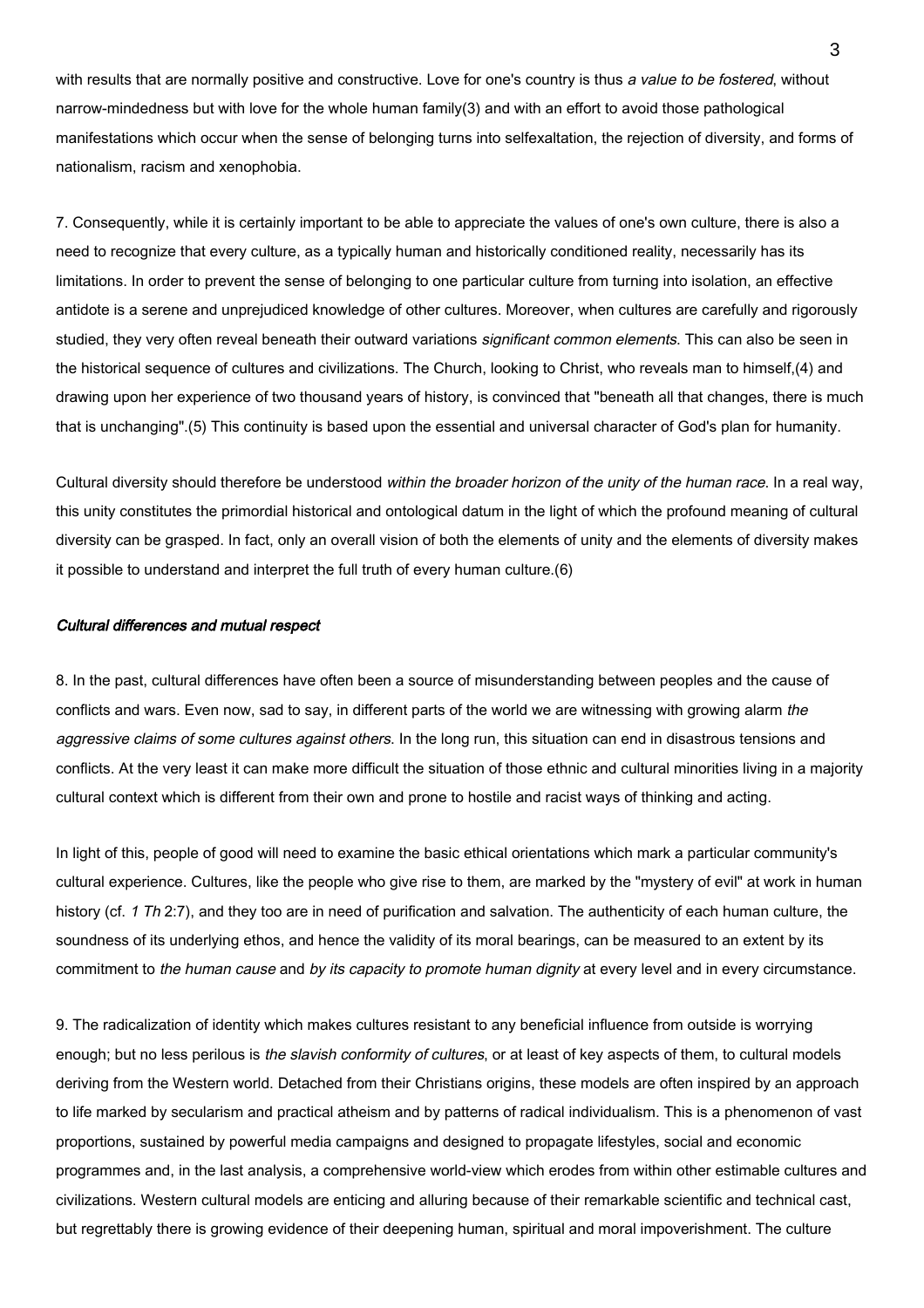with results that are normally positive and constructive. Love for one's country is thus a value to be fostered, without narrow-mindedness but with love for the whole human family(3) and with an effort to avoid those pathological manifestations which occur when the sense of belonging turns into selfexaltation, the rejection of diversity, and forms of nationalism, racism and xenophobia.

7. Consequently, while it is certainly important to be able to appreciate the values of one's own culture, there is also a need to recognize that every culture, as a typically human and historically conditioned reality, necessarily has its limitations. In order to prevent the sense of belonging to one particular culture from turning into isolation, an effective antidote is a serene and unprejudiced knowledge of other cultures. Moreover, when cultures are carefully and rigorously studied, they very often reveal beneath their outward variations *significant common elements*. This can also be seen in the historical sequence of cultures and civilizations. The Church, looking to Christ, who reveals man to himself,(4) and drawing upon her experience of two thousand years of history, is convinced that "beneath all that changes, there is much that is unchanging".(5) This continuity is based upon the essential and universal character of God's plan for humanity.

Cultural diversity should therefore be understood within the broader horizon of the unity of the human race. In a real way, this unity constitutes the primordial historical and ontological datum in the light of which the profound meaning of cultural diversity can be grasped. In fact, only an overall vision of both the elements of unity and the elements of diversity makes it possible to understand and interpret the full truth of every human culture.(6)

# Cultural differences and mutual respect

8. In the past, cultural differences have often been a source of misunderstanding between peoples and the cause of conflicts and wars. Even now, sad to say, in different parts of the world we are witnessing with growing alarm the aggressive claims of some cultures against others. In the long run, this situation can end in disastrous tensions and conflicts. At the very least it can make more difficult the situation of those ethnic and cultural minorities living in a majority cultural context which is different from their own and prone to hostile and racist ways of thinking and acting.

In light of this, people of good will need to examine the basic ethical orientations which mark a particular community's cultural experience. Cultures, like the people who give rise to them, are marked by the "mystery of evil" at work in human history (cf. 1 Th 2:7), and they too are in need of purification and salvation. The authenticity of each human culture, the soundness of its underlying ethos, and hence the validity of its moral bearings, can be measured to an extent by its commitment to the human cause and by its capacity to promote human dignity at every level and in every circumstance.

9. The radicalization of identity which makes cultures resistant to any beneficial influence from outside is worrying enough; but no less perilous is the slavish conformity of cultures, or at least of key aspects of them, to cultural models deriving from the Western world. Detached from their Christians origins, these models are often inspired by an approach to life marked by secularism and practical atheism and by patterns of radical individualism. This is a phenomenon of vast proportions, sustained by powerful media campaigns and designed to propagate lifestyles, social and economic programmes and, in the last analysis, a comprehensive world-view which erodes from within other estimable cultures and civilizations. Western cultural models are enticing and alluring because of their remarkable scientific and technical cast, but regrettably there is growing evidence of their deepening human, spiritual and moral impoverishment. The culture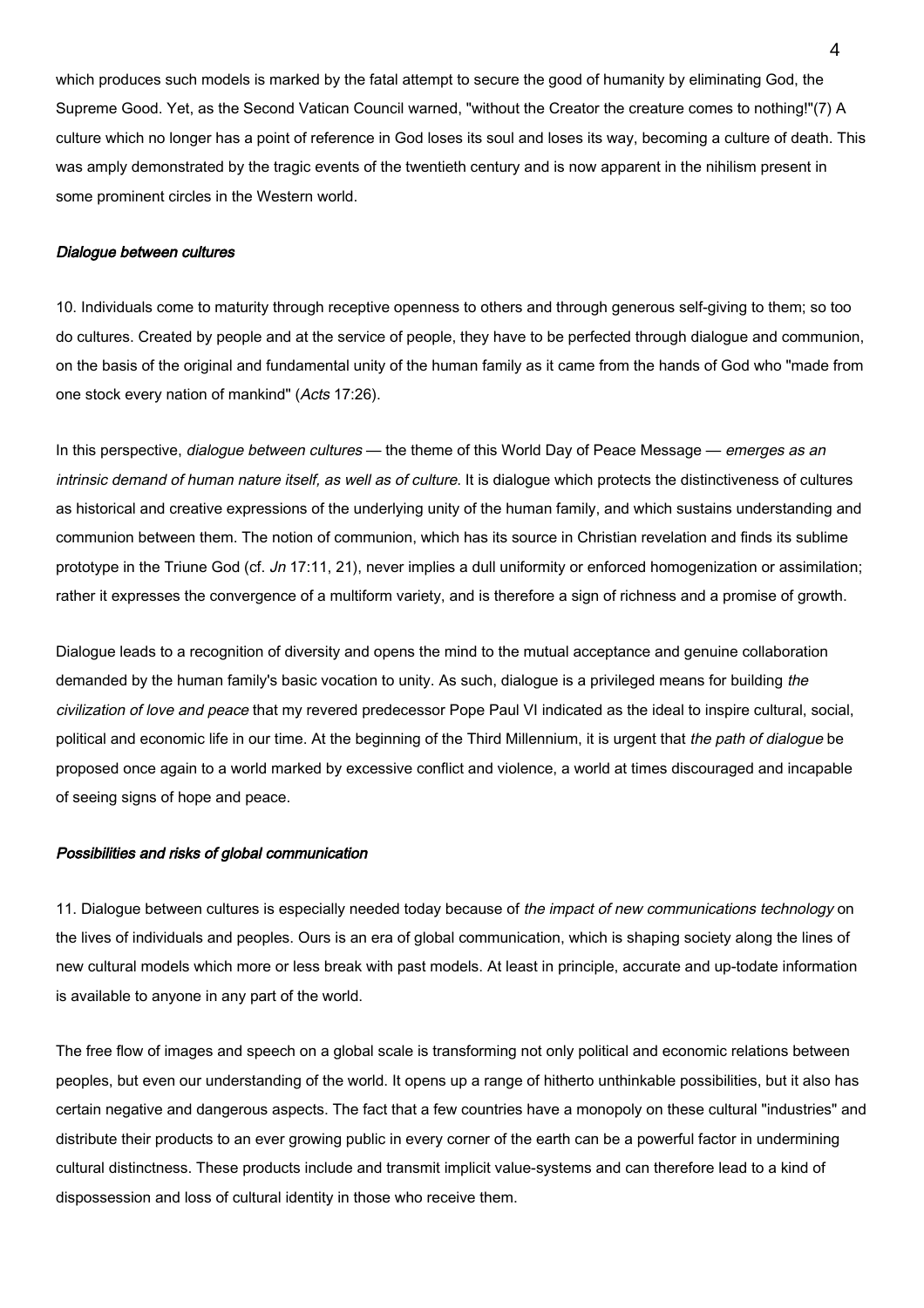which produces such models is marked by the fatal attempt to secure the good of humanity by eliminating God, the Supreme Good. Yet, as the Second Vatican Council warned, "without the Creator the creature comes to nothing!"(7) A culture which no longer has a point of reference in God loses its soul and loses its way, becoming a culture of death. This was amply demonstrated by the tragic events of the twentieth century and is now apparent in the nihilism present in some prominent circles in the Western world.

#### Dialogue between cultures

10. Individuals come to maturity through receptive openness to others and through generous self-giving to them; so too do cultures. Created by people and at the service of people, they have to be perfected through dialogue and communion, on the basis of the original and fundamental unity of the human family as it came from the hands of God who "made from one stock every nation of mankind" (Acts 17:26).

In this perspective, dialogue between cultures — the theme of this World Day of Peace Message — emerges as an intrinsic demand of human nature itself, as well as of culture. It is dialogue which protects the distinctiveness of cultures as historical and creative expressions of the underlying unity of the human family, and which sustains understanding and communion between them. The notion of communion, which has its source in Christian revelation and finds its sublime prototype in the Triune God (cf. Jn 17:11, 21), never implies a dull uniformity or enforced homogenization or assimilation; rather it expresses the convergence of a multiform variety, and is therefore a sign of richness and a promise of growth.

Dialogue leads to a recognition of diversity and opens the mind to the mutual acceptance and genuine collaboration demanded by the human family's basic vocation to unity. As such, dialogue is a privileged means for building the civilization of love and peace that my revered predecessor Pope Paul VI indicated as the ideal to inspire cultural, social, political and economic life in our time. At the beginning of the Third Millennium, it is urgent that the path of dialogue be proposed once again to a world marked by excessive conflict and violence, a world at times discouraged and incapable of seeing signs of hope and peace.

#### Possibilities and risks of global communication

11. Dialogue between cultures is especially needed today because of the impact of new communications technology on the lives of individuals and peoples. Ours is an era of global communication, which is shaping society along the lines of new cultural models which more or less break with past models. At least in principle, accurate and up-todate information is available to anyone in any part of the world.

The free flow of images and speech on a global scale is transforming not only political and economic relations between peoples, but even our understanding of the world. It opens up a range of hitherto unthinkable possibilities, but it also has certain negative and dangerous aspects. The fact that a few countries have a monopoly on these cultural "industries" and distribute their products to an ever growing public in every corner of the earth can be a powerful factor in undermining cultural distinctness. These products include and transmit implicit value-systems and can therefore lead to a kind of dispossession and loss of cultural identity in those who receive them.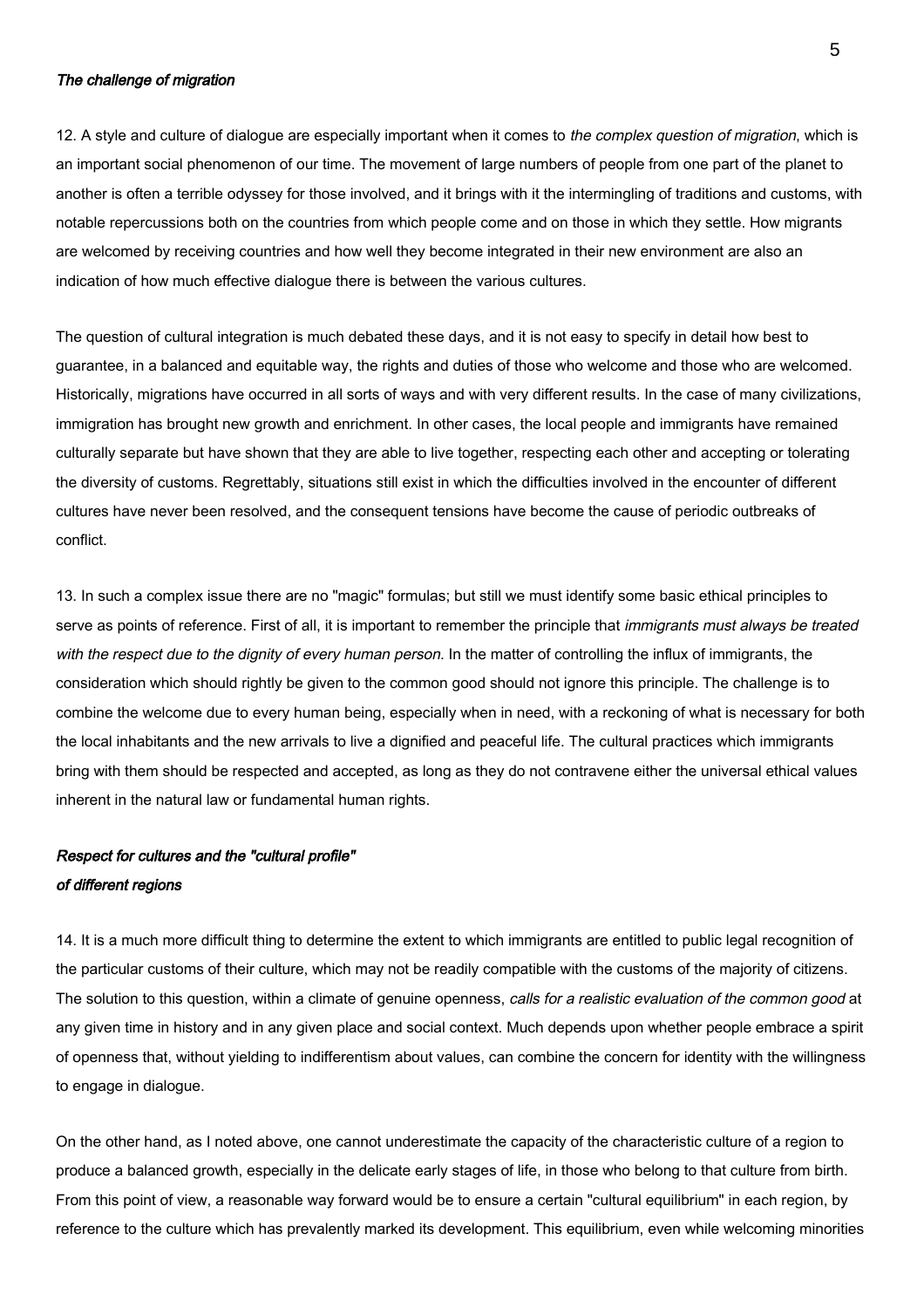# The challenge of migration

12. A style and culture of dialogue are especially important when it comes to the complex question of migration, which is an important social phenomenon of our time. The movement of large numbers of people from one part of the planet to another is often a terrible odyssey for those involved, and it brings with it the intermingling of traditions and customs, with notable repercussions both on the countries from which people come and on those in which they settle. How migrants are welcomed by receiving countries and how well they become integrated in their new environment are also an indication of how much effective dialogue there is between the various cultures.

The question of cultural integration is much debated these days, and it is not easy to specify in detail how best to guarantee, in a balanced and equitable way, the rights and duties of those who welcome and those who are welcomed. Historically, migrations have occurred in all sorts of ways and with very different results. In the case of many civilizations, immigration has brought new growth and enrichment. In other cases, the local people and immigrants have remained culturally separate but have shown that they are able to live together, respecting each other and accepting or tolerating the diversity of customs. Regrettably, situations still exist in which the difficulties involved in the encounter of different cultures have never been resolved, and the consequent tensions have become the cause of periodic outbreaks of conflict.

13. In such a complex issue there are no "magic" formulas; but still we must identify some basic ethical principles to serve as points of reference. First of all, it is important to remember the principle that *immigrants must always be treated* with the respect due to the dignity of every human person. In the matter of controlling the influx of immigrants, the consideration which should rightly be given to the common good should not ignore this principle. The challenge is to combine the welcome due to every human being, especially when in need, with a reckoning of what is necessary for both the local inhabitants and the new arrivals to live a dignified and peaceful life. The cultural practices which immigrants bring with them should be respected and accepted, as long as they do not contravene either the universal ethical values inherent in the natural law or fundamental human rights.

# Respect for cultures and the "cultural profile" of different regions

14. It is a much more difficult thing to determine the extent to which immigrants are entitled to public legal recognition of the particular customs of their culture, which may not be readily compatible with the customs of the majority of citizens. The solution to this question, within a climate of genuine openness, calls for a realistic evaluation of the common good at any given time in history and in any given place and social context. Much depends upon whether people embrace a spirit of openness that, without yielding to indifferentism about values, can combine the concern for identity with the willingness to engage in dialogue.

On the other hand, as I noted above, one cannot underestimate the capacity of the characteristic culture of a region to produce a balanced growth, especially in the delicate early stages of life, in those who belong to that culture from birth. From this point of view, a reasonable way forward would be to ensure a certain "cultural equilibrium" in each region, by reference to the culture which has prevalently marked its development. This equilibrium, even while welcoming minorities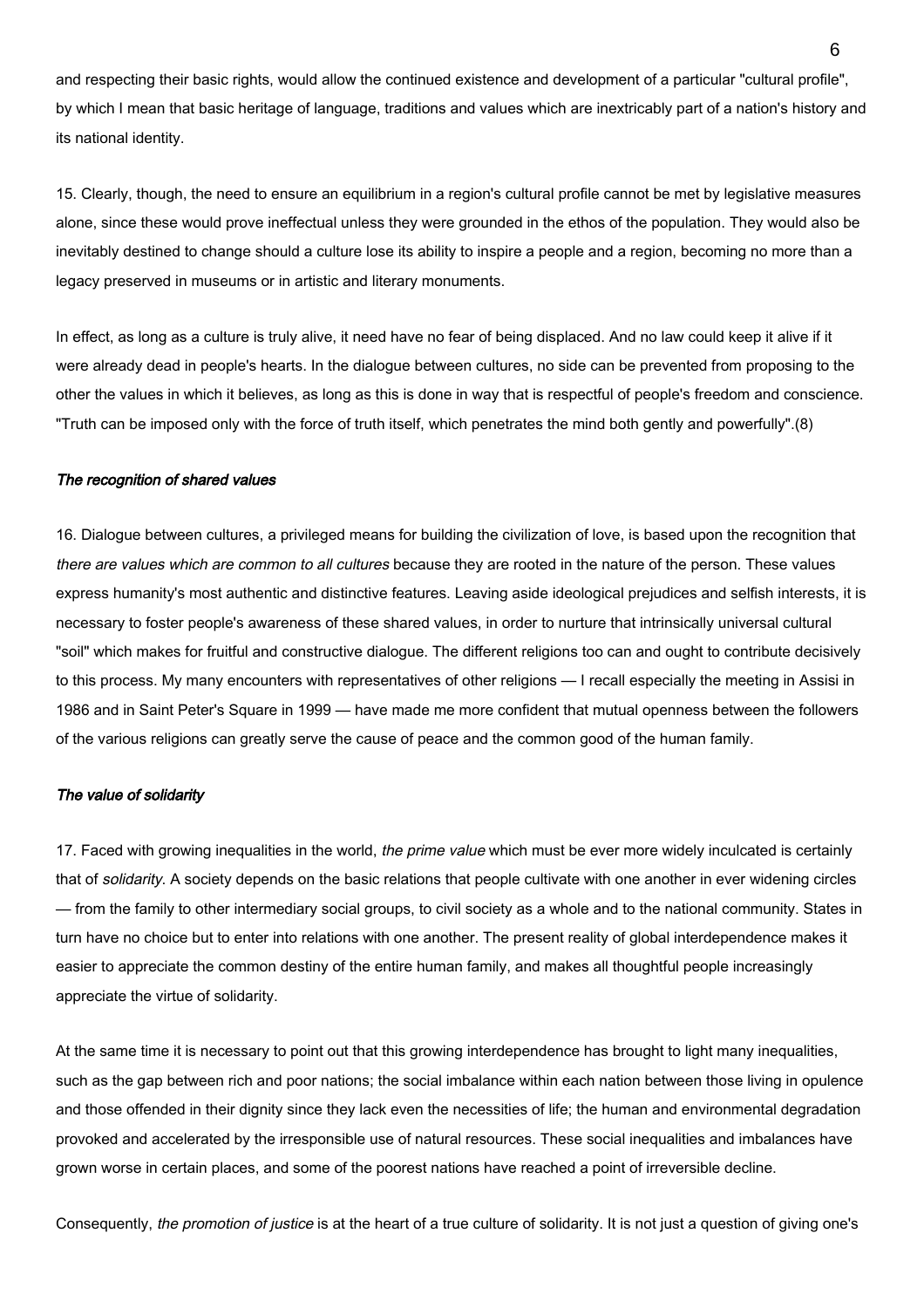and respecting their basic rights, would allow the continued existence and development of a particular "cultural profile", by which I mean that basic heritage of language, traditions and values which are inextricably part of a nation's history and its national identity.

15. Clearly, though, the need to ensure an equilibrium in a region's cultural profile cannot be met by legislative measures alone, since these would prove ineffectual unless they were grounded in the ethos of the population. They would also be inevitably destined to change should a culture lose its ability to inspire a people and a region, becoming no more than a legacy preserved in museums or in artistic and literary monuments.

In effect, as long as a culture is truly alive, it need have no fear of being displaced. And no law could keep it alive if it were already dead in people's hearts. In the dialogue between cultures, no side can be prevented from proposing to the other the values in which it believes, as long as this is done in way that is respectful of people's freedom and conscience. "Truth can be imposed only with the force of truth itself, which penetrates the mind both gently and powerfully".(8)

#### The recognition of shared values

16. Dialogue between cultures, a privileged means for building the civilization of love, is based upon the recognition that there are values which are common to all cultures because they are rooted in the nature of the person. These values express humanity's most authentic and distinctive features. Leaving aside ideological prejudices and selfish interests, it is necessary to foster people's awareness of these shared values, in order to nurture that intrinsically universal cultural "soil" which makes for fruitful and constructive dialogue. The different religions too can and ought to contribute decisively to this process. My many encounters with representatives of other religions — I recall especially the meeting in Assisi in 1986 and in Saint Peter's Square in 1999 — have made me more confident that mutual openness between the followers of the various religions can greatly serve the cause of peace and the common good of the human family.

# The value of solidarity

17. Faced with growing inequalities in the world, the prime value which must be ever more widely inculcated is certainly that of solidarity. A society depends on the basic relations that people cultivate with one another in ever widening circles — from the family to other intermediary social groups, to civil society as a whole and to the national community. States in turn have no choice but to enter into relations with one another. The present reality of global interdependence makes it easier to appreciate the common destiny of the entire human family, and makes all thoughtful people increasingly appreciate the virtue of solidarity.

At the same time it is necessary to point out that this growing interdependence has brought to light many inequalities, such as the gap between rich and poor nations; the social imbalance within each nation between those living in opulence and those offended in their dignity since they lack even the necessities of life; the human and environmental degradation provoked and accelerated by the irresponsible use of natural resources. These social inequalities and imbalances have grown worse in certain places, and some of the poorest nations have reached a point of irreversible decline.

Consequently, the promotion of justice is at the heart of a true culture of solidarity. It is not just a question of giving one's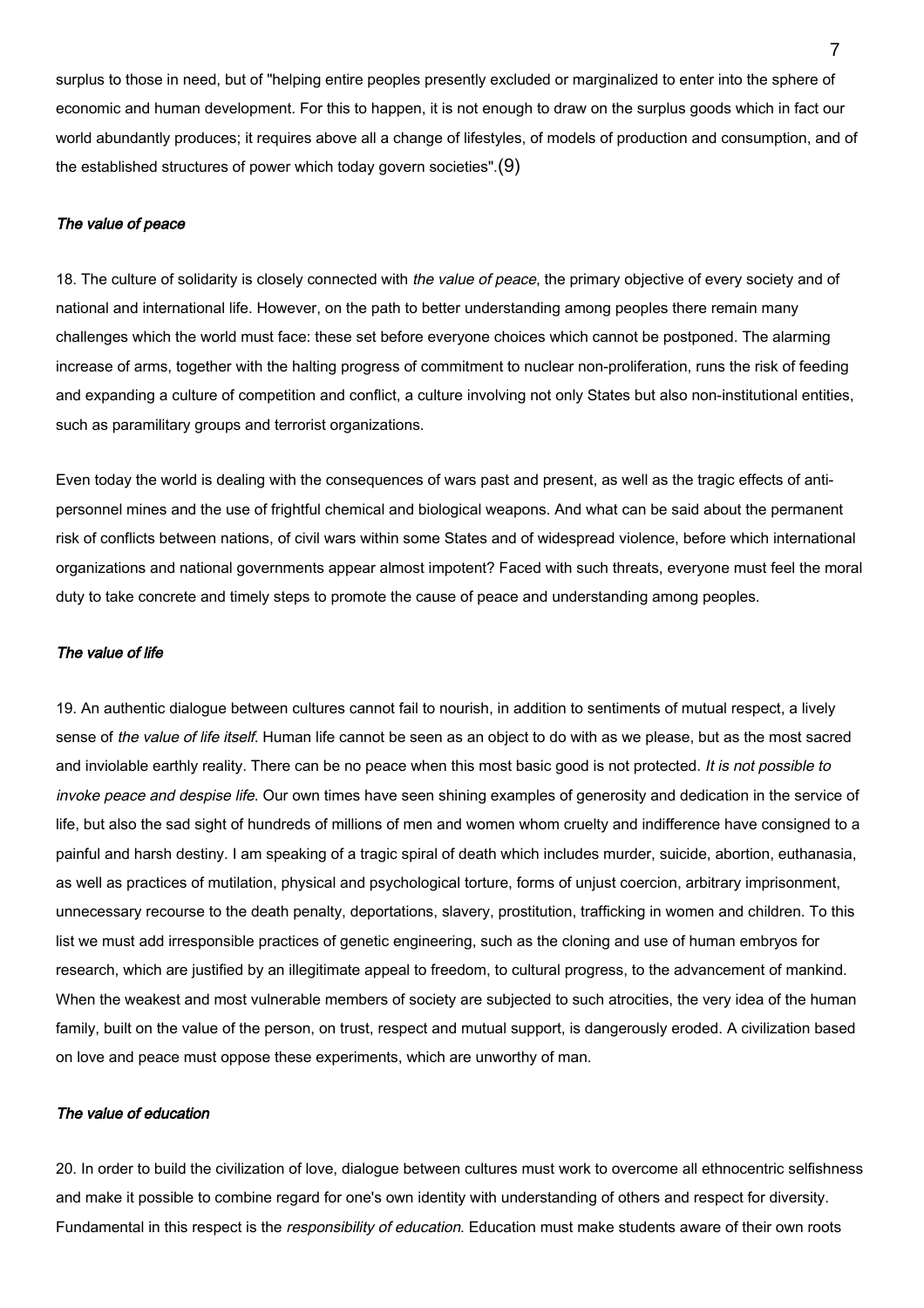surplus to those in need, but of "helping entire peoples presently excluded or marginalized to enter into the sphere of economic and human development. For this to happen, it is not enough to draw on the surplus goods which in fact our world abundantly produces; it requires above all a change of lifestyles, of models of production and consumption, and of the established structures of power which today govern societies".(9)

#### The value of peace

18. The culture of solidarity is closely connected with the value of peace, the primary objective of every society and of national and international life. However, on the path to better understanding among peoples there remain many challenges which the world must face: these set before everyone choices which cannot be postponed. The alarming increase of arms, together with the halting progress of commitment to nuclear non-proliferation, runs the risk of feeding and expanding a culture of competition and conflict, a culture involving not only States but also non-institutional entities, such as paramilitary groups and terrorist organizations.

Even today the world is dealing with the consequences of wars past and present, as well as the tragic effects of antipersonnel mines and the use of frightful chemical and biological weapons. And what can be said about the permanent risk of conflicts between nations, of civil wars within some States and of widespread violence, before which international organizations and national governments appear almost impotent? Faced with such threats, everyone must feel the moral duty to take concrete and timely steps to promote the cause of peace and understanding among peoples.

# The value of life

19. An authentic dialogue between cultures cannot fail to nourish, in addition to sentiments of mutual respect, a lively sense of the value of life itself. Human life cannot be seen as an object to do with as we please, but as the most sacred and inviolable earthly reality. There can be no peace when this most basic good is not protected. It is not possible to invoke peace and despise life. Our own times have seen shining examples of generosity and dedication in the service of life, but also the sad sight of hundreds of millions of men and women whom cruelty and indifference have consigned to a painful and harsh destiny. I am speaking of a tragic spiral of death which includes murder, suicide, abortion, euthanasia, as well as practices of mutilation, physical and psychological torture, forms of unjust coercion, arbitrary imprisonment, unnecessary recourse to the death penalty, deportations, slavery, prostitution, trafficking in women and children. To this list we must add irresponsible practices of genetic engineering, such as the cloning and use of human embryos for research, which are justified by an illegitimate appeal to freedom, to cultural progress, to the advancement of mankind. When the weakest and most vulnerable members of society are subjected to such atrocities, the very idea of the human family, built on the value of the person, on trust, respect and mutual support, is dangerously eroded. A civilization based on love and peace must oppose these experiments, which are unworthy of man.

# The value of education

20. In order to build the civilization of love, dialogue between cultures must work to overcome all ethnocentric selfishness and make it possible to combine regard for one's own identity with understanding of others and respect for diversity. Fundamental in this respect is the responsibility of education. Education must make students aware of their own roots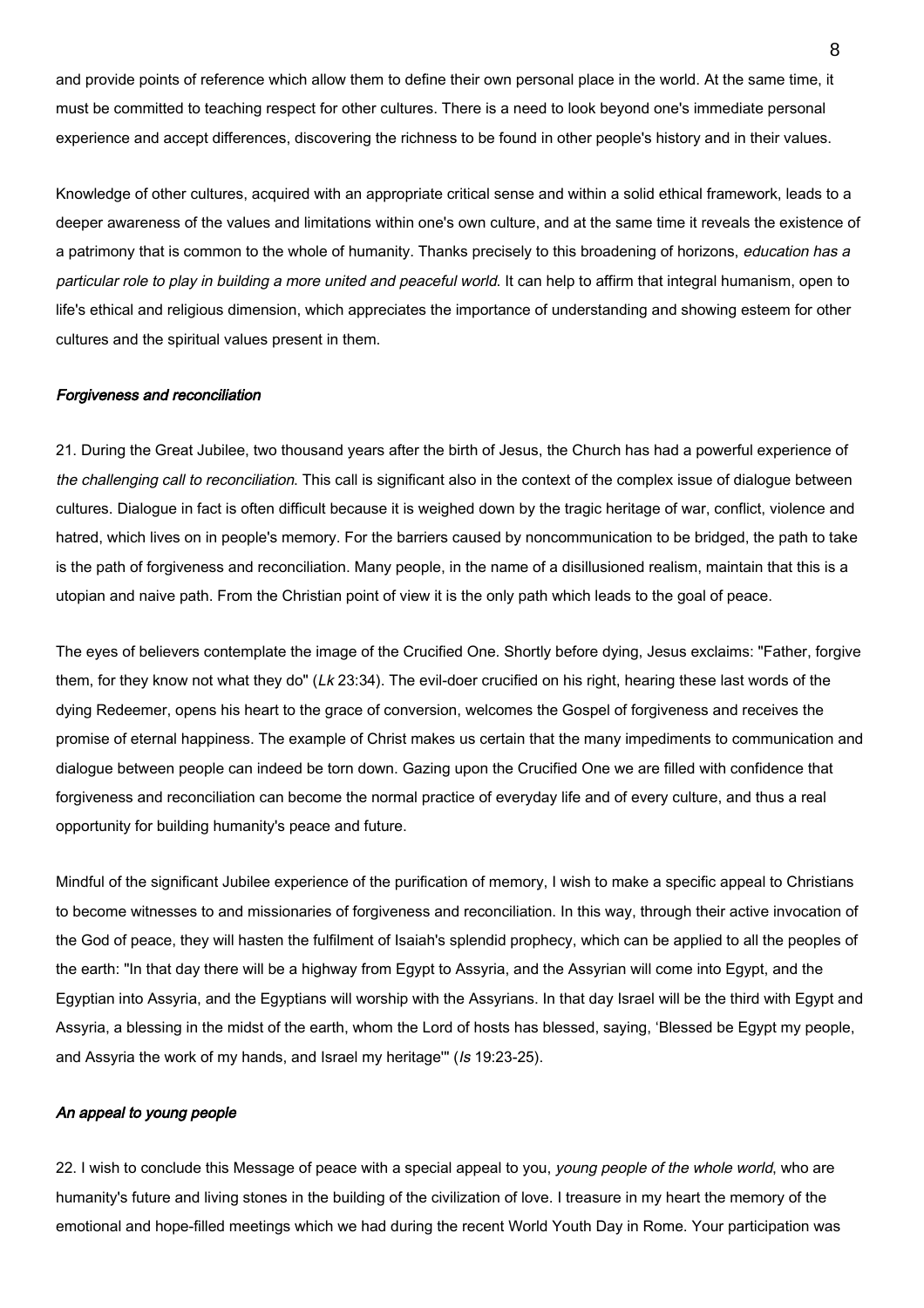and provide points of reference which allow them to define their own personal place in the world. At the same time, it must be committed to teaching respect for other cultures. There is a need to look beyond one's immediate personal experience and accept differences, discovering the richness to be found in other people's history and in their values.

Knowledge of other cultures, acquired with an appropriate critical sense and within a solid ethical framework, leads to a deeper awareness of the values and limitations within one's own culture, and at the same time it reveals the existence of a patrimony that is common to the whole of humanity. Thanks precisely to this broadening of horizons, education has a particular role to play in building a more united and peaceful world. It can help to affirm that integral humanism, open to life's ethical and religious dimension, which appreciates the importance of understanding and showing esteem for other cultures and the spiritual values present in them.

#### Forgiveness and reconciliation

21. During the Great Jubilee, two thousand years after the birth of Jesus, the Church has had a powerful experience of the challenging call to reconciliation. This call is significant also in the context of the complex issue of dialogue between cultures. Dialogue in fact is often difficult because it is weighed down by the tragic heritage of war, conflict, violence and hatred, which lives on in people's memory. For the barriers caused by noncommunication to be bridged, the path to take is the path of forgiveness and reconciliation. Many people, in the name of a disillusioned realism, maintain that this is a utopian and naive path. From the Christian point of view it is the only path which leads to the goal of peace.

The eyes of believers contemplate the image of the Crucified One. Shortly before dying, Jesus exclaims: "Father, forgive them, for they know not what they do" (Lk 23:34). The evil-doer crucified on his right, hearing these last words of the dying Redeemer, opens his heart to the grace of conversion, welcomes the Gospel of forgiveness and receives the promise of eternal happiness. The example of Christ makes us certain that the many impediments to communication and dialogue between people can indeed be torn down. Gazing upon the Crucified One we are filled with confidence that forgiveness and reconciliation can become the normal practice of everyday life and of every culture, and thus a real opportunity for building humanity's peace and future.

Mindful of the significant Jubilee experience of the purification of memory, I wish to make a specific appeal to Christians to become witnesses to and missionaries of forgiveness and reconciliation. In this way, through their active invocation of the God of peace, they will hasten the fulfilment of Isaiah's splendid prophecy, which can be applied to all the peoples of the earth: "In that day there will be a highway from Egypt to Assyria, and the Assyrian will come into Egypt, and the Egyptian into Assyria, and the Egyptians will worship with the Assyrians. In that day Israel will be the third with Egypt and Assyria, a blessing in the midst of the earth, whom the Lord of hosts has blessed, saying, 'Blessed be Egypt my people, and Assyria the work of my hands, and Israel my heritage" (Is 19:23-25).

# An appeal to young people

22. I wish to conclude this Message of peace with a special appeal to you, *young people of the whole world*, who are humanity's future and living stones in the building of the civilization of love. I treasure in my heart the memory of the emotional and hope-filled meetings which we had during the recent World Youth Day in Rome. Your participation was